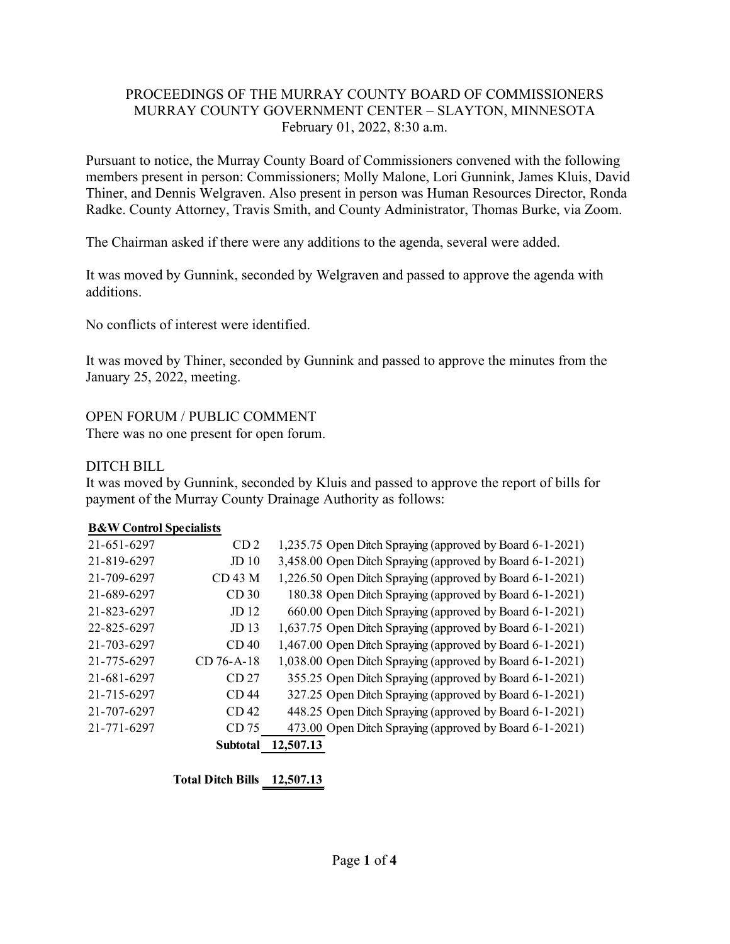### PROCEEDINGS OF THE MURRAY COUNTY BOARD OF COMMISSIONERS MURRAY COUNTY GOVERNMENT CENTER – SLAYTON, MINNESOTA February 01, 2022, 8:30 a.m.

Pursuant to notice, the Murray County Board of Commissioners convened with the following members present in person: Commissioners; Molly Malone, Lori Gunnink, James Kluis, David Thiner, and Dennis Welgraven. Also present in person was Human Resources Director, Ronda Radke. County Attorney, Travis Smith, and County Administrator, Thomas Burke, via Zoom.

The Chairman asked if there were any additions to the agenda, several were added.

It was moved by Gunnink, seconded by Welgraven and passed to approve the agenda with additions.

No conflicts of interest were identified.

It was moved by Thiner, seconded by Gunnink and passed to approve the minutes from the January 25, 2022, meeting.

OPEN FORUM / PUBLIC COMMENT

There was no one present for open forum.

# DITCH BILL

It was moved by Gunnink, seconded by Kluis and passed to approve the report of bills for payment of the Murray County Drainage Authority as follows:

### **B&W Control Specialists**

|             | <b>Subtotal</b>  | 12,507.13 |                                                           |
|-------------|------------------|-----------|-----------------------------------------------------------|
| 21-771-6297 | CD 75            |           | 473.00 Open Ditch Spraying (approved by Board 6-1-2021)   |
| 21-707-6297 | CD <sub>42</sub> |           | 448.25 Open Ditch Spraying (approved by Board 6-1-2021)   |
| 21-715-6297 | CD <sub>44</sub> |           | 327.25 Open Ditch Spraying (approved by Board 6-1-2021)   |
| 21-681-6297 | CD <sub>27</sub> |           | 355.25 Open Ditch Spraying (approved by Board 6-1-2021)   |
| 21-775-6297 | CD 76-A-18       |           | 1,038.00 Open Ditch Spraying (approved by Board 6-1-2021) |
| 21-703-6297 | CD <sub>40</sub> |           | 1,467.00 Open Ditch Spraying (approved by Board 6-1-2021) |
| 22-825-6297 | JD <sub>13</sub> |           | 1,637.75 Open Ditch Spraying (approved by Board 6-1-2021) |
| 21-823-6297 | JD 12            |           | 660.00 Open Ditch Spraying (approved by Board 6-1-2021)   |
| 21-689-6297 | CD <sub>30</sub> |           | 180.38 Open Ditch Spraying (approved by Board 6-1-2021)   |
| 21-709-6297 | <b>CD 43 M</b>   |           | 1,226.50 Open Ditch Spraying (approved by Board 6-1-2021) |
| 21-819-6297 | JD <sub>10</sub> |           | 3,458.00 Open Ditch Spraying (approved by Board 6-1-2021) |
| 21-651-6297 | CD <sub>2</sub>  |           | 1,235.75 Open Ditch Spraying (approved by Board 6-1-2021) |
|             |                  |           |                                                           |

**Total Ditch Bills 12,507.13**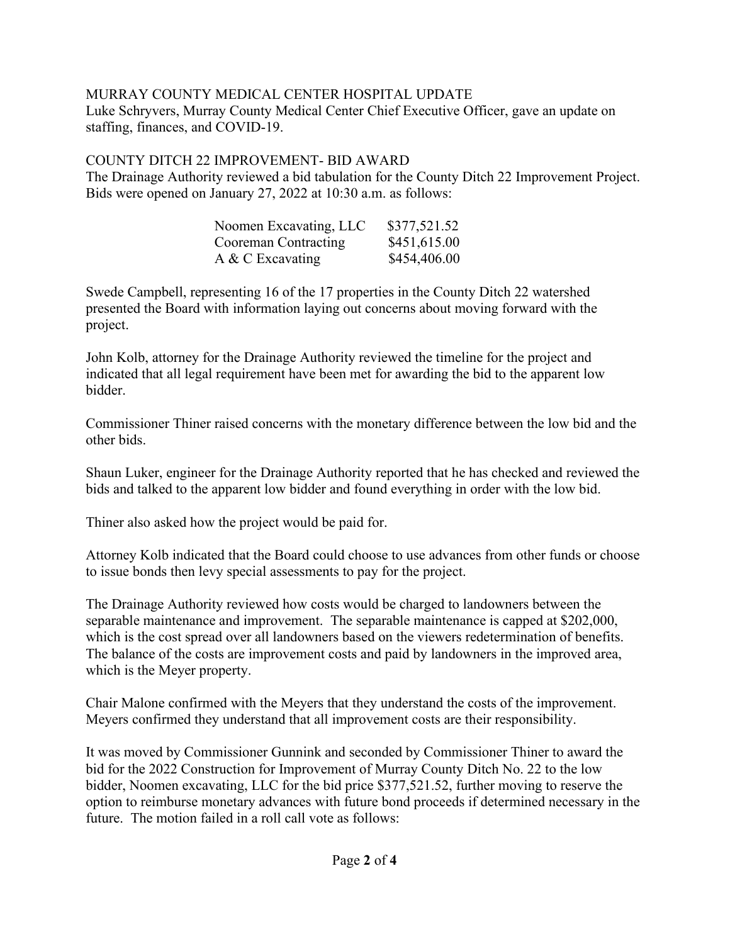# MURRAY COUNTY MEDICAL CENTER HOSPITAL UPDATE

Luke Schryvers, Murray County Medical Center Chief Executive Officer, gave an update on staffing, finances, and COVID-19.

# COUNTY DITCH 22 IMPROVEMENT- BID AWARD

The Drainage Authority reviewed a bid tabulation for the County Ditch 22 Improvement Project. Bids were opened on January 27, 2022 at 10:30 a.m. as follows:

| Noomen Excavating, LLC | \$377,521.52 |
|------------------------|--------------|
| Cooreman Contracting   | \$451,615.00 |
| A & C Excavating       | \$454,406.00 |

Swede Campbell, representing 16 of the 17 properties in the County Ditch 22 watershed presented the Board with information laying out concerns about moving forward with the project.

John Kolb, attorney for the Drainage Authority reviewed the timeline for the project and indicated that all legal requirement have been met for awarding the bid to the apparent low bidder.

Commissioner Thiner raised concerns with the monetary difference between the low bid and the other bids.

Shaun Luker, engineer for the Drainage Authority reported that he has checked and reviewed the bids and talked to the apparent low bidder and found everything in order with the low bid.

Thiner also asked how the project would be paid for.

Attorney Kolb indicated that the Board could choose to use advances from other funds or choose to issue bonds then levy special assessments to pay for the project.

The Drainage Authority reviewed how costs would be charged to landowners between the separable maintenance and improvement. The separable maintenance is capped at \$202,000, which is the cost spread over all landowners based on the viewers redetermination of benefits. The balance of the costs are improvement costs and paid by landowners in the improved area, which is the Meyer property.

Chair Malone confirmed with the Meyers that they understand the costs of the improvement. Meyers confirmed they understand that all improvement costs are their responsibility.

It was moved by Commissioner Gunnink and seconded by Commissioner Thiner to award the bid for the 2022 Construction for Improvement of Murray County Ditch No. 22 to the low bidder, Noomen excavating, LLC for the bid price \$377,521.52, further moving to reserve the option to reimburse monetary advances with future bond proceeds if determined necessary in the future. The motion failed in a roll call vote as follows: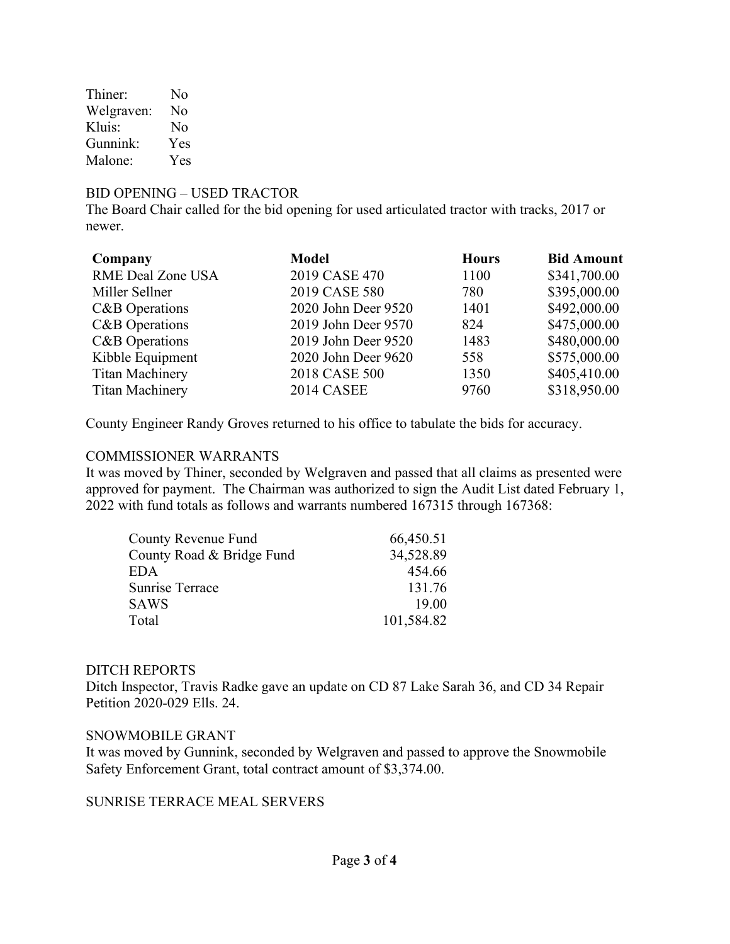Thiner: No Welgraven: No Kluis: No Gunnink: Yes Malone: Yes

### BID OPENING – USED TRACTOR

The Board Chair called for the bid opening for used articulated tractor with tracks, 2017 or newer.

| Company                | <b>Model</b>        | <b>Hours</b> | <b>Bid Amount</b> |
|------------------------|---------------------|--------------|-------------------|
| RME Deal Zone USA      | 2019 CASE 470       | 1100         | \$341,700.00      |
| Miller Sellner         | 2019 CASE 580       | 780          | \$395,000.00      |
| C&B Operations         | 2020 John Deer 9520 | 1401         | \$492,000.00      |
| C&B Operations         | 2019 John Deer 9570 | 824          | \$475,000.00      |
| C&B Operations         | 2019 John Deer 9520 | 1483         | \$480,000.00      |
| Kibble Equipment       | 2020 John Deer 9620 | 558          | \$575,000.00      |
| <b>Titan Machinery</b> | 2018 CASE 500       | 1350         | \$405,410.00      |
| <b>Titan Machinery</b> | <b>2014 CASEE</b>   | 9760         | \$318,950.00      |

County Engineer Randy Groves returned to his office to tabulate the bids for accuracy.

#### COMMISSIONER WARRANTS

It was moved by Thiner, seconded by Welgraven and passed that all claims as presented were approved for payment. The Chairman was authorized to sign the Audit List dated February 1, 2022 with fund totals as follows and warrants numbered 167315 through 167368:

| County Revenue Fund       | 66,450.51  |
|---------------------------|------------|
| County Road & Bridge Fund | 34,528.89  |
| <b>EDA</b>                | 454.66     |
| Sunrise Terrace           | 131.76     |
| <b>SAWS</b>               | 19.00      |
| Total                     | 101,584.82 |

### DITCH REPORTS

Ditch Inspector, Travis Radke gave an update on CD 87 Lake Sarah 36, and CD 34 Repair Petition 2020-029 Ells. 24.

#### SNOWMOBILE GRANT

It was moved by Gunnink, seconded by Welgraven and passed to approve the Snowmobile Safety Enforcement Grant, total contract amount of \$3,374.00.

# SUNRISE TERRACE MEAL SERVERS